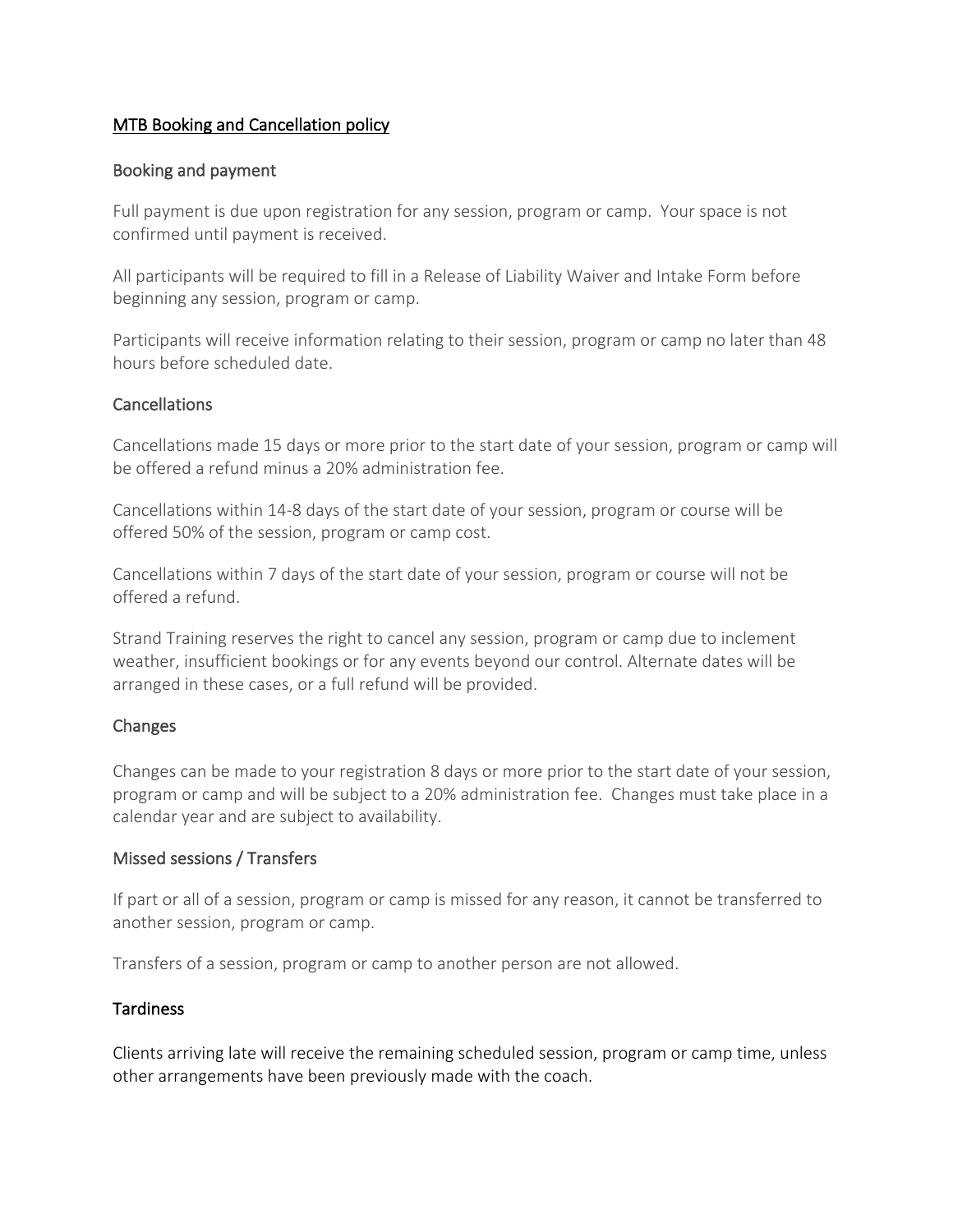# MTB Booking and Cancellation policy

## Booking and payment

Full payment is due upon registration for any session, program or camp. Your space is not confirmed until payment is received.

All participants will be required to fill in a Release of Liability Waiver and Intake Form before beginning any session, program or camp.

Participants will receive information relating to their session, program or camp no later than 48 hours before scheduled date.

#### **Cancellations**

Cancellations made 15 days or more prior to the start date of your session, program or camp will be offered a refund minus a 20% administration fee.

Cancellations within 14-8 days of the start date of your session, program or course will be offered 50% of the session, program or camp cost.

Cancellations within 7 days of the start date of your session, program or course will not be offered a refund.

Strand Training reserves the right to cancel any session, program or camp due to inclement weather, insufficient bookings or for any events beyond our control. Alternate dates will be arranged in these cases, or a full refund will be provided.

#### Changes

Changes can be made to your registration 8 days or more prior to the start date of your session, program or camp and will be subject to a 20% administration fee. Changes must take place in a calendar year and are subject to availability.

#### Missed sessions / Transfers

If part or all of a session, program or camp is missed for any reason, it cannot be transferred to another session, program or camp.

Transfers of a session, program or camp to another person are not allowed.

#### Tardiness

Clients arriving late will receive the remaining scheduled session, program or camp time, unless other arrangements have been previously made with the coach.